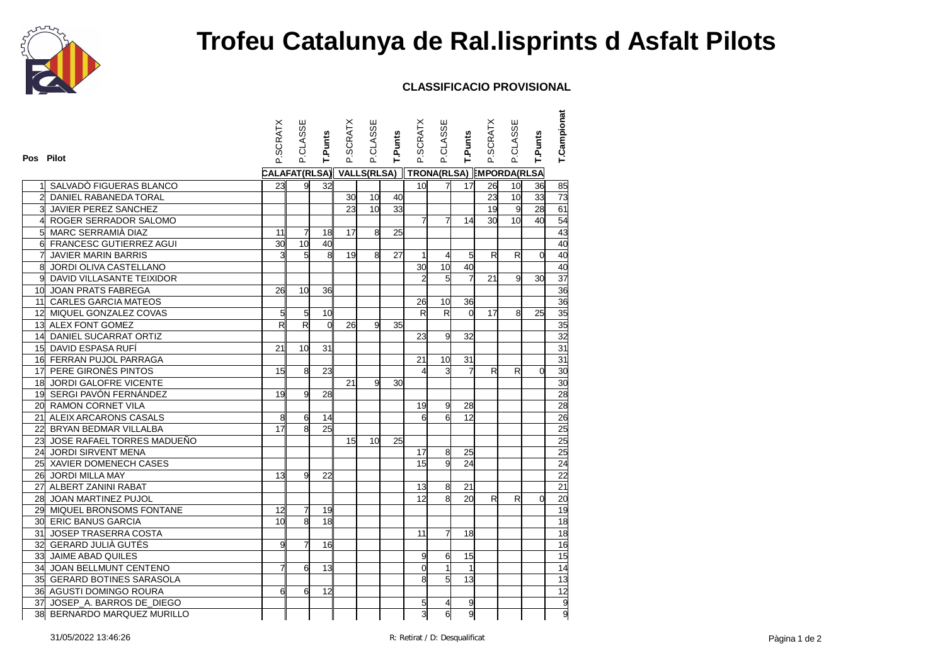

## **Trofeu Catalunya de Ral.lisprints d Asfalt Pilots**

## **CLASSIFICACIO PROVISIONAL**

| Pos Pilot       |                             | P.SCRATX        | P.CLASSE       | T.Punts         | <b>P.SCRATX</b>                     | P.CLASSE        | T.Punts | P.SCRATX                | <b>P.CLASSE</b>         | T.Punts        | P.SCRATX     | <b>P.CLASSE</b> | T.Punts        | <b>T.Campionat</b> |
|-----------------|-----------------------------|-----------------|----------------|-----------------|-------------------------------------|-----------------|---------|-------------------------|-------------------------|----------------|--------------|-----------------|----------------|--------------------|
|                 |                             | CALAFAT(RLSA)   |                |                 | VALLS(RLSA) TRONA(RLSA) MPORDA(RLSA |                 |         |                         |                         |                |              |                 |                |                    |
|                 | SALVADO FIGUERAS BLANCO     | 23              | 9              | 32              |                                     |                 |         | 10 <sup>1</sup>         | $\overline{7}$          | 17             | 26           | 10 <sup>1</sup> | 36             | 85                 |
| $\overline{2}$  | DANIEL RABANEDA TORAL       |                 |                |                 | 30                                  | 10              | 40      |                         |                         |                | 23           | 10 <sup>1</sup> | 33             | 73                 |
| 3               | JAVIER PEREZ SANCHEZ        |                 |                |                 | 23                                  | 10 <sup>1</sup> | 33      |                         |                         |                | 19           | 9               | 28             | 61                 |
| 4               | ROGER SERRADOR SALOMO       |                 |                |                 |                                     |                 |         | 7                       | $\overline{7}$          | 14             | 30           | 10 <sup>1</sup> | 40             | 54                 |
| 5 <sup>1</sup>  | MARC SERRAMIÀ DIAZ          | 11              | 7              | 18              | 17                                  | 8 <sup>  </sup> | 25      |                         |                         |                |              |                 |                | 43                 |
|                 | 6 FRANCESC GUTIERREZ AGUI   | 30              | 10             | 40              |                                     |                 |         |                         |                         |                |              |                 |                | 40                 |
| 키               | <b>JAVIER MARIN BARRIS</b>  | 3               | 5              | 8 <sup>  </sup> | 19                                  | $\mathsf{a}$    | 27      | $\mathbf{1}$            | $\overline{4}$          | 5              | $\mathsf{R}$ | R               | $\Omega$       | 40                 |
| 8               | JORDI OLIVA CASTELLANO      |                 |                |                 |                                     |                 |         | 30                      | 10                      | 40             |              |                 |                | 40                 |
|                 | DAVID VILLASANTE TEIXIDOR   |                 |                |                 |                                     |                 |         | $\overline{2}$          | 5                       | $\overline{7}$ | 21           | g               | 30             | 37                 |
| 10 <sup>1</sup> | <b>JOAN PRATS FABREGA</b>   | 26              | 10             | 36              |                                     |                 |         |                         |                         |                |              |                 |                | 36                 |
|                 | 11 CARLES GARCIA MATEOS     |                 |                |                 |                                     |                 |         | 26                      | 10                      | 36             |              |                 |                | 36                 |
|                 | 12 MIQUEL GONZALEZ COVAS    | 5               | 5              | 10              |                                     |                 |         | $\overline{\mathsf{R}}$ | $\overline{\mathsf{R}}$ | $\Omega$       | 17           | 8               | 25             | $\overline{35}$    |
|                 | 13 ALEX FONT GOMEZ          | R               | R              | $\Omega$        | 26                                  | g               | 35      |                         |                         |                |              |                 |                | 35                 |
| 14              | DANIEL SUCARRAT ORTIZ       |                 |                |                 |                                     |                 |         | 23                      | 9                       | 32             |              |                 |                | 32                 |
|                 | 15 DAVID ESPASA RUFÍ        | 21              | 10             | 31              |                                     |                 |         |                         |                         |                |              |                 |                | 31                 |
|                 | 16 FERRAN PUJOL PARRAGA     |                 |                |                 |                                     |                 |         | 21                      | 10                      | 31             |              |                 |                | 31                 |
|                 | 17 PERE GIRONÈS PINTOS      | 15              | 8              | 23              |                                     |                 |         | 4                       | 3                       | 7              | $\mathsf{R}$ | R               | 0              | 30                 |
|                 | 18 JORDI GALOFRE VICENTE    |                 |                |                 | 21                                  | g               | 30      |                         |                         |                |              |                 |                | 30                 |
|                 | 19 SERGI PAVÓN FERNÁNDEZ    | 19              | 9              | 28              |                                     |                 |         |                         |                         |                |              |                 |                | 28                 |
|                 | 20 RAMON CORNET VILA        |                 |                |                 |                                     |                 |         | 19                      | 9                       | 28             |              |                 |                | 28                 |
|                 | 21 ALEIX ARCARONS CASALS    | 8               | 6              | 14              |                                     |                 |         | 6                       | 6                       | 12             |              |                 |                | 26                 |
|                 | 22 BRYAN BEDMAR VILLALBA    | 17              | 8              | 25              |                                     |                 |         |                         |                         |                |              |                 |                | 25                 |
| 23              | JOSE RAFAEL TORRES MADUEÑO  |                 |                |                 | 15                                  | 10 <sup>1</sup> | 25      |                         |                         |                |              |                 |                | 25                 |
| 24              | JORDI SIRVENT MENA          |                 |                |                 |                                     |                 |         | 17                      | 8                       | 25             |              |                 |                | 25                 |
|                 | 25 XAVIER DOMENECH CASES    |                 |                |                 |                                     |                 |         | 15                      | 9                       | 24             |              |                 |                | 24                 |
| 26              | JORDI MILLA MAY             | 13              | 9              | 22              |                                     |                 |         |                         |                         |                |              |                 |                | 22                 |
|                 | 27 ALBERT ZANINI RABAT      |                 |                |                 |                                     |                 |         | 13                      | 8                       | 21             |              |                 |                | 21                 |
| 28              | JOAN MARTINEZ PUJOL         |                 |                |                 |                                     |                 |         | 12                      | 8                       | 20             | $\mathsf{R}$ | R               | $\overline{0}$ | 20                 |
| 29              | MIQUEL BRONSOMS FONTANE     | 12              | $\overline{7}$ | 19              |                                     |                 |         |                         |                         |                |              |                 |                | 19                 |
|                 | 30 ERIC BANUS GARCIA        | 10 <sup>1</sup> | 8              | 18              |                                     |                 |         |                         |                         |                |              |                 |                | $\overline{18}$    |
| 31              | <b>JOSEP TRASERRA COSTA</b> |                 |                |                 |                                     |                 |         | 11                      | $\overline{7}$          | 18             |              |                 |                | 18                 |
| 32              | GERARD JULIÀ GUTÉS          | g               | $\overline{7}$ | 16              |                                     |                 |         |                         |                         |                |              |                 |                | 16                 |
| 33              | JAIME ABAD QUILES           |                 |                |                 |                                     |                 |         | 9                       | 6                       | 15             |              |                 |                | 15                 |
|                 | 34 JOAN BELLMUNT CENTENO    |                 | 6              | 13              |                                     |                 |         | $\Omega$                |                         | $\mathbf{1}$   |              |                 |                | 14                 |
|                 | 35 GERARD BOTINES SARASOLA  |                 |                |                 |                                     |                 |         | 8                       | 5                       | 13             |              |                 |                | 13                 |
|                 | 36 AGUSTI DOMINGO ROURA     | 6               | 6              | 12              |                                     |                 |         |                         |                         |                |              |                 |                |                    |
|                 | 37 JOSEP A. BARROS DE DIEGO |                 |                |                 |                                     |                 |         | 5                       |                         | 9              |              |                 |                | $\frac{12}{9}$     |
|                 | 38 BERNARDO MARQUEZ MURILLO |                 |                |                 |                                     |                 |         | ვ                       | 6                       | $\overline{9}$ |              |                 |                | $\overline{g}$     |